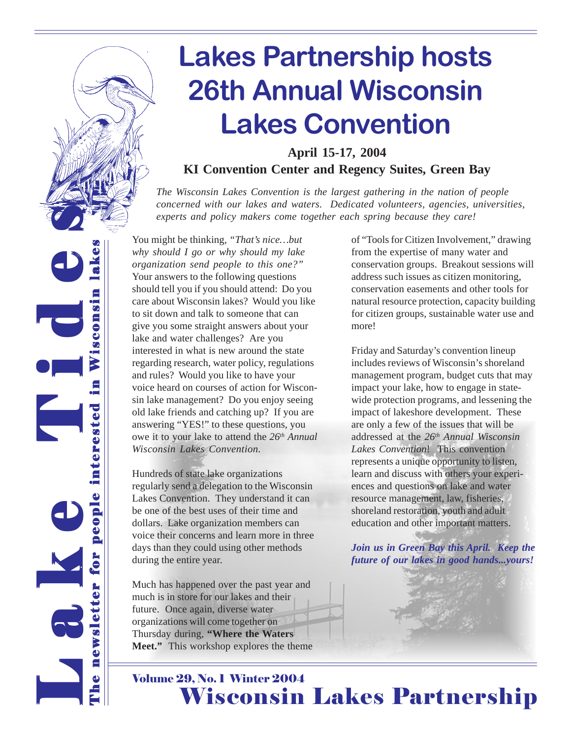

**April 15-17, 2004 KI Convention Center and Regency Suites, Green Bay**

*The Wisconsin Lakes Convention is the largest gathering in the nation of people concerned with our lakes and waters. Dedicated volunteers, agencies, universities, experts and policy makers come together each spring because they care!*

You might be thinking, *"That's nice…but* The newsletter for people interested in Wisconsin lakes *why should I go or why should my lake* e L L L<br>C<br>C<br>C *organization send people to this one?"* Your answers to the following questions should tell you if you should attend: Do you Wisconsin care about Wisconsin lakes? Would you like to sit down and talk to someone that can give you some straight answers about your lake and water challenges? Are you interested in what is new around the state regarding research, water policy, regulations and rules? Would you like to have your voice heard on courses of action for Wisconsin lake management? Do you enjoy seeing people interested old lake friends and catching up? If you are answering "YES!" to these questions, you owe it to your lake to attend the *26th Annual Wisconsin Lakes Convention.* Hundreds of state lake organizations regularly send a delegation to the Wisconsin Lakes Convention. They understand it can be one of the best uses of their time and dollars. Lake organization members can voice their concerns and learn more in three days than they could using other methods Lak for during the entire year. sletter

new

 $\ddot{\bullet}$ 

**si** 

Much has happened over the past year and much is in store for our lakes and their future. Once again, diverse water organizations will come together on Thursday during, **"Where the Waters Meet."** This workshop explores the theme of "Tools for Citizen Involvement," drawing from the expertise of many water and conservation groups. Breakout sessions will address such issues as citizen monitoring, conservation easements and other tools for natural resource protection, capacity building for citizen groups, sustainable water use and more!

Friday and Saturday's convention lineup includes reviews of Wisconsin's shoreland management program, budget cuts that may impact your lake, how to engage in statewide protection programs, and lessening the impact of lakeshore development. These are only a few of the issues that will be addressed at the *26th Annual Wisconsin Lakes Convention*! This convention represents a unique opportunity to listen, learn and discuss with others your experiences and questions on lake and water resource management, law, fisheries, shoreland restoration, youth and adult education and other important matters.

*Join us in Green Bay this April. Keep the future of our lakes in good hands...yours!*



### Volume 29, No. 1 Winter 2004 Wisconsin Lakes Partnership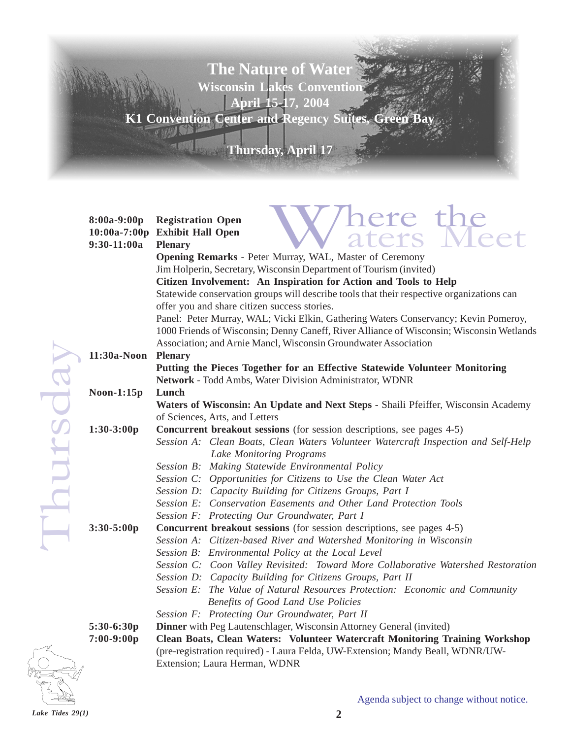### **The Nature of Water Wisconsin Lakes Convention April 15-17, 2004 K1 Convention Center and Regency Suites, Green Bay**

**Thursday, April 17** 

| 8:00a-9:00p<br>$10:00a-7:00p$<br>$9:30-11:00a$ | here the<br>aters Me<br><b>Registration Open</b><br><b>Exhibit Hall Open</b><br><b>Plenary</b>                                                 |
|------------------------------------------------|------------------------------------------------------------------------------------------------------------------------------------------------|
|                                                | Opening Remarks - Peter Murray, WAL, Master of Ceremony<br>Jim Holperin, Secretary, Wisconsin Department of Tourism (invited)                  |
|                                                | Citizen Involvement: An Inspiration for Action and Tools to Help                                                                               |
|                                                | Statewide conservation groups will describe tools that their respective organizations can                                                      |
|                                                | offer you and share citizen success stories.                                                                                                   |
|                                                | Panel: Peter Murray, WAL; Vicki Elkin, Gathering Waters Conservancy; Kevin Pomeroy,                                                            |
|                                                | 1000 Friends of Wisconsin; Denny Caneff, River Alliance of Wisconsin; Wisconsin Wetlands                                                       |
|                                                | Association; and Arnie Mancl, Wisconsin Groundwater Association                                                                                |
| 11:30a-Noon                                    | <b>Plenary</b>                                                                                                                                 |
|                                                | Putting the Pieces Together for an Effective Statewide Volunteer Monitoring                                                                    |
|                                                | Network - Todd Ambs, Water Division Administrator, WDNR                                                                                        |
| $Noon-1:15p$                                   | Lunch                                                                                                                                          |
|                                                | Waters of Wisconsin: An Update and Next Steps - Shaili Pfeiffer, Wisconsin Academy                                                             |
|                                                | of Sciences, Arts, and Letters                                                                                                                 |
| $1:30-3:00p$                                   | Concurrent breakout sessions (for session descriptions, see pages 4-5)                                                                         |
|                                                | Session A: Clean Boats, Clean Waters Volunteer Watercraft Inspection and Self-Help                                                             |
|                                                | Lake Monitoring Programs                                                                                                                       |
|                                                | Session B: Making Statewide Environmental Policy                                                                                               |
|                                                | Session C: Opportunities for Citizens to Use the Clean Water Act                                                                               |
|                                                | Session D: Capacity Building for Citizens Groups, Part I                                                                                       |
|                                                | Session E: Conservation Easements and Other Land Protection Tools                                                                              |
|                                                | Session F: Protecting Our Groundwater, Part I                                                                                                  |
| $3:30 - 5:00p$                                 | Concurrent breakout sessions (for session descriptions, see pages 4-5)<br>Session A: Citizen-based River and Watershed Monitoring in Wisconsin |
|                                                | Session B: Environmental Policy at the Local Level                                                                                             |
|                                                | Session C: Coon Valley Revisited: Toward More Collaborative Watershed Restoration                                                              |
|                                                | Session D: Capacity Building for Citizens Groups, Part II                                                                                      |
|                                                | Session E: The Value of Natural Resources Protection: Economic and Community                                                                   |
|                                                | Benefits of Good Land Use Policies                                                                                                             |
|                                                | Session F: Protecting Our Groundwater, Part II                                                                                                 |
| 5:30-6:30p                                     | Dinner with Peg Lautenschlager, Wisconsin Attorney General (invited)                                                                           |
| $7:00-9:00p$                                   | <b>Clean Boats, Clean Waters: Volunteer Watercraft Monitoring Training Workshop</b>                                                            |
|                                                | (pre-registration required) - Laura Felda, UW-Extension; Mandy Beall, WDNR/UW-                                                                 |
|                                                | Extension; Laura Herman, WDNR                                                                                                                  |



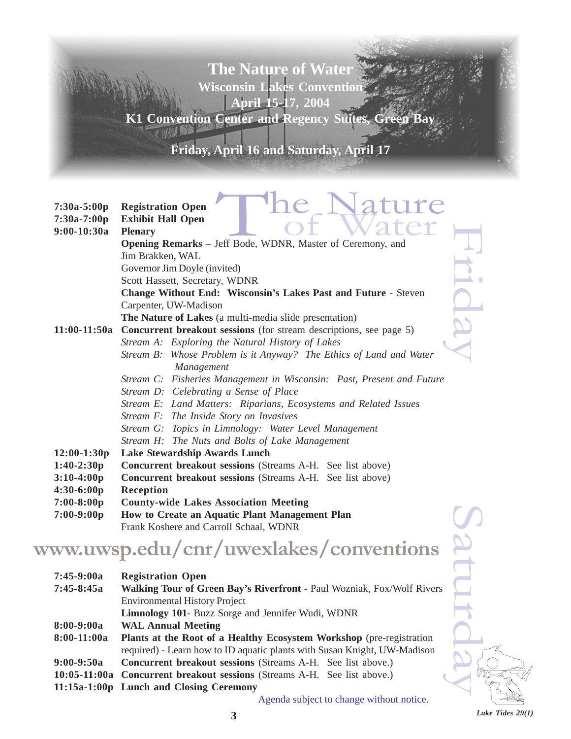**The Nature of Water Wisconsin Lakes Convention April 15-17, 2004**

**K1 Convention Center and Regency Suites, Green Bay**

**Friday, April 16 and Saturday, April 17**

| $7:30a-5:00p$<br>7:30a-7:00p<br>9:00-10:30a | ature<br><b>Registration Open</b><br><b>Exhibit Hall Open</b><br><b>Plenary</b> |  |  |  |  |
|---------------------------------------------|---------------------------------------------------------------------------------|--|--|--|--|
|                                             | Opening Remarks - Jeff Bode, WDNR, Master of Ceremony, and                      |  |  |  |  |
|                                             | Jim Brakken, WAL                                                                |  |  |  |  |
|                                             | Governor Jim Doyle (invited)                                                    |  |  |  |  |
|                                             | Scott Hassett, Secretary, WDNR                                                  |  |  |  |  |
|                                             | <b>Change Without End: Wisconsin's Lakes Past and Future - Steven</b>           |  |  |  |  |
|                                             | Carpenter, UW-Madison                                                           |  |  |  |  |
|                                             | The Nature of Lakes (a multi-media slide presentation)                          |  |  |  |  |
| 11:00-11:50a                                | <b>Concurrent breakout sessions</b> (for stream descriptions, see page 5)       |  |  |  |  |
|                                             | Stream A: Exploring the Natural History of Lakes                                |  |  |  |  |
|                                             | Stream B: Whose Problem is it Anyway? The Ethics of Land and Water              |  |  |  |  |
|                                             | Management                                                                      |  |  |  |  |
|                                             | Stream C: Fisheries Management in Wisconsin: Past, Present and Future           |  |  |  |  |
|                                             | Stream D: Celebrating a Sense of Place                                          |  |  |  |  |
|                                             | Stream E: Land Matters: Riparians, Ecosystems and Related Issues                |  |  |  |  |
|                                             | Stream F: The Inside Story on Invasives                                         |  |  |  |  |
|                                             | Stream G: Topics in Limnology: Water Level Management                           |  |  |  |  |
|                                             | Stream H: The Nuts and Bolts of Lake Management                                 |  |  |  |  |
| $12:00-1:30p$                               | Lake Stewardship Awards Lunch                                                   |  |  |  |  |
| $1:40-2:30p$                                | <b>Concurrent breakout sessions</b> (Streams A-H. See list above)               |  |  |  |  |
| $3:10-4:00p$                                | Concurrent breakout sessions (Streams A-H. See list above)                      |  |  |  |  |
| $4:30-6:00p$                                | <b>Reception</b>                                                                |  |  |  |  |
| $7:00-8:00p$                                | <b>County-wide Lakes Association Meeting</b>                                    |  |  |  |  |
| $7:00-9:00p$                                | How to Create an Aquatic Plant Management Plan                                  |  |  |  |  |
|                                             | Frank Koshere and Carroll Schaal, WDNR                                          |  |  |  |  |

### **www.uwsp.edu/cnr/uwexlakes/conventions**

| $7:00-9:00p$ | How to Create an Aquatic Plant Management Plan<br>Frank Koshere and Carroll Schaal, WDNR |   |
|--------------|------------------------------------------------------------------------------------------|---|
|              | ww.uwsp.edu/cnr/uwexlakes/conventions                                                    |   |
| $7:45-9:00a$ | <b>Registration Open</b>                                                                 |   |
| $7:45-8:45a$ | Walking Tour of Green Bay's Riverfront - Paul Wozniak, Fox/Wolf Rivers                   |   |
|              | <b>Environmental History Project</b>                                                     |   |
|              | Limnology 101- Buzz Sorge and Jennifer Wudi, WDNR                                        |   |
| $8:00-9:00a$ | <b>WAL Annual Meeting</b>                                                                |   |
| 8:00-11:00a  | Plants at the Root of a Healthy Ecosystem Workshop (pre-registration                     |   |
|              | required) - Learn how to ID aquatic plants with Susan Knight, UW-Madison                 |   |
| $9:00-9:50a$ | <b>Concurrent breakout sessions</b> (Streams A-H. See list above.)                       |   |
|              | 10:05-11:00a Concurrent breakout sessions (Streams A-H. See list above.)                 | ٣ |
|              | 11:15a-1:00p Lunch and Closing Ceremony                                                  |   |
|              |                                                                                          |   |

Agenda subject to change without notice.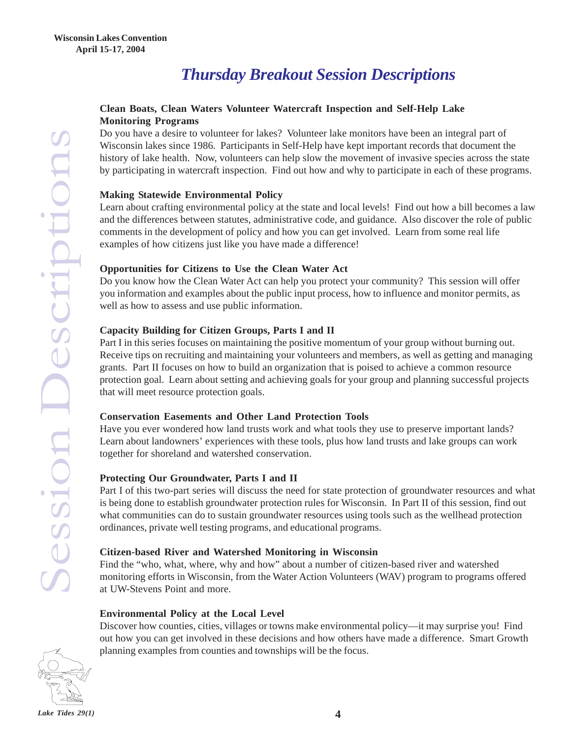### *Thursday Breakout Session Descriptions*

#### **Clean Boats, Clean Waters Volunteer Watercraft Inspection and Self-Help Lake Monitoring Programs**

Do you have a desire to volunteer for lakes? Volunteer lake monitors have been an integral part of Wisconsin lakes since 1986. Participants in Self-Help have kept important records that document the history of lake health. Now, volunteers can help slow the movement of invasive species across the state by participating in watercraft inspection. Find out how and why to participate in each of these programs.

#### **Making Statewide Environmental Policy**

Learn about crafting environmental policy at the state and local levels! Find out how a bill becomes a law and the differences between statutes, administrative code, and guidance. Also discover the role of public comments in the development of policy and how you can get involved. Learn from some real life examples of how citizens just like you have made a difference!

#### **Opportunities for Citizens to Use the Clean Water Act**

Do you know how the Clean Water Act can help you protect your community? This session will offer you information and examples about the public input process, how to influence and monitor permits, as well as how to assess and use public information.

#### **Capacity Building for Citizen Groups, Parts I and II**

Part I in this series focuses on maintaining the positive momentum of your group without burning out. Receive tips on recruiting and maintaining your volunteers and members, as well as getting and managing grants. Part II focuses on how to build an organization that is poised to achieve a common resource protection goal. Learn about setting and achieving goals for your group and planning successful projects that will meet resource protection goals.

#### **Conservation Easements and Other Land Protection Tools**

Have you ever wondered how land trusts work and what tools they use to preserve important lands? Learn about landowners' experiences with these tools, plus how land trusts and lake groups can work together for shoreland and watershed conservation.

#### **Protecting Our Groundwater, Parts I and II**

Part I of this two-part series will discuss the need for state protection of groundwater resources and what is being done to establish groundwater protection rules for Wisconsin. In Part II of this session, find out what communities can do to sustain groundwater resources using tools such as the wellhead protection ordinances, private well testing programs, and educational programs.

#### **Citizen-based River and Watershed Monitoring in Wisconsin**

Find the "who, what, where, why and how" about a number of citizen-based river and watershed monitoring efforts in Wisconsin, from the Water Action Volunteers (WAV) program to programs offered at UW-Stevens Point and more.

#### **Environmental Policy at the Local Level**

Discover how counties, cities, villages or towns make environmental policy—it may surprise you! Find out how you can get involved in these decisions and how others have made a difference. Smart Growth planning examples from counties and townships will be the focus.

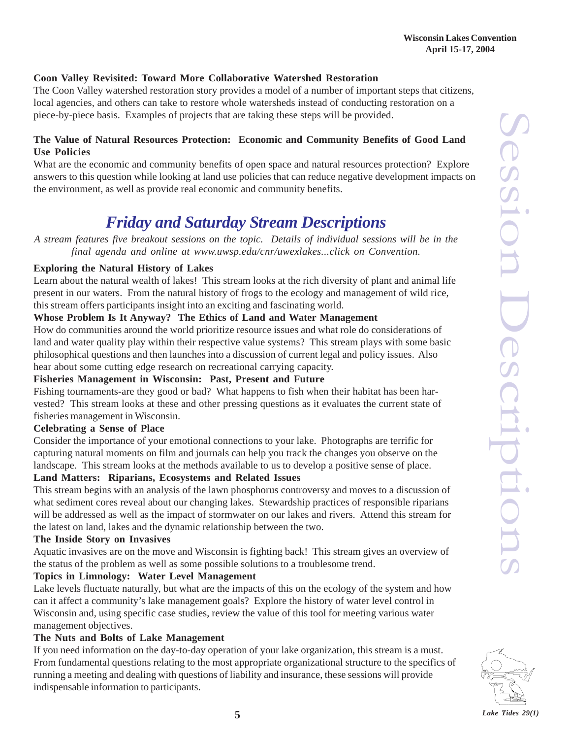#### **Coon Valley Revisited: Toward More Collaborative Watershed Restoration**

The Coon Valley watershed restoration story provides a model of a number of important steps that citizens, local agencies, and others can take to restore whole watersheds instead of conducting restoration on a piece-by-piece basis. Examples of projects that are taking these steps will be provided.

#### **The Value of Natural Resources Protection: Economic and Community Benefits of Good Land Use Policies**

What are the economic and community benefits of open space and natural resources protection? Explore answers to this question while looking at land use policies that can reduce negative development impacts on the environment, as well as provide real economic and community benefits.

### *Friday and Saturday Stream Descriptions*

*A stream features five breakout sessions on the topic. Details of individual sessions will be in the final agenda and online at www.uwsp.edu/cnr/uwexlakes...click on Convention.*

#### **Exploring the Natural History of Lakes**

Learn about the natural wealth of lakes! This stream looks at the rich diversity of plant and animal life present in our waters. From the natural history of frogs to the ecology and management of wild rice, this stream offers participants insight into an exciting and fascinating world.

#### **Whose Problem Is It Anyway? The Ethics of Land and Water Management**

How do communities around the world prioritize resource issues and what role do considerations of land and water quality play within their respective value systems? This stream plays with some basic philosophical questions and then launches into a discussion of current legal and policy issues. Also hear about some cutting edge research on recreational carrying capacity.

#### **Fisheries Management in Wisconsin: Past, Present and Future**

Fishing tournaments-are they good or bad? What happens to fish when their habitat has been harvested? This stream looks at these and other pressing questions as it evaluates the current state of fisheries management in Wisconsin.

#### **Celebrating a Sense of Place**

Consider the importance of your emotional connections to your lake. Photographs are terrific for capturing natural moments on film and journals can help you track the changes you observe on the landscape. This stream looks at the methods available to us to develop a positive sense of place.

#### **Land Matters: Riparians, Ecosystems and Related Issues**

This stream begins with an analysis of the lawn phosphorus controversy and moves to a discussion of what sediment cores reveal about our changing lakes. Stewardship practices of responsible riparians will be addressed as well as the impact of stormwater on our lakes and rivers. Attend this stream for the latest on land, lakes and the dynamic relationship between the two.

#### **The Inside Story on Invasives**

Aquatic invasives are on the move and Wisconsin is fighting back! This stream gives an overview of the status of the problem as well as some possible solutions to a troublesome trend.

#### **Topics in Limnology: Water Level Management**

Lake levels fluctuate naturally, but what are the impacts of this on the ecology of the system and how can it affect a community's lake management goals? Explore the history of water level control in Wisconsin and, using specific case studies, review the value of this tool for meeting various water management objectives.

#### **The Nuts and Bolts of Lake Management**

If you need information on the day-to-day operation of your lake organization, this stream is a must. From fundamental questions relating to the most appropriate organizational structure to the specifics of running a meeting and dealing with questions of liability and insurance, these sessions will provide indispensable information to participants.

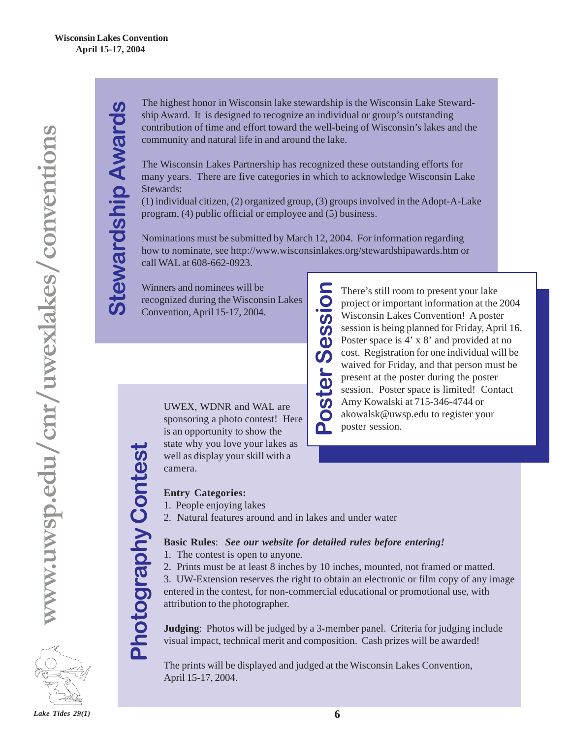$\boldsymbol{\omega}$ 

 **Stewardship Awards**

tewardship Award

The highest honor in Wisconsin lake stewardship is the Wisconsin Lake Stewardship Award. It is designed to recognize an individual or group's outstanding contribution of time and effort toward the well-being of Wisconsin's lakes and the community and natural life in and around the lake.

The Wisconsin Lakes Partnership has recognized these outstanding efforts for many years. There are five categories in which to acknowledge Wisconsin Lake Stewards:

(1) individual citizen, (2) organized group, (3) groups involved in the Adopt-A-Lake program, (4) public official or employee and (5) business.

Nominations must be submitted by March 12, 2004. For information regarding how to nominate, see http://www.wisconsinlakes.org/stewardshipawards.htm or call WAL at 608-662-0923.

> There's still room to present your lake project or important information at the 2004 Wisconsin Lakes Convention! A poster session is being planned for Friday, April 16. Poster space is 4' x 8' and provided at no cost. Registration for one individual will be waived for Friday, and that person must be present at the poster during the poster session. Poster space is limited! Contact

Amy Kowalski at 715-346-4744 or akowalsk@uwsp.edu to register your

There's still root<br>project or impo<br>Wisconsin Lake<br>session is being<br>Poster space is<br>cost. Registrati<br>waived for Frice<br>present at the p<br>session. Poster<br>Amy Kowalski<br>akowalsk@uws<br>poster session.

Winners and nominees will be recognized during the Wisconsin Lakes Convention, April 15-17, 2004.

> UWEX, WDNR and WAL are sponsoring a photo contest! Here is an opportunity to show the state why you love your lakes as well as display your skill with a camera.

#### **Entry Categories:**

- 1. People enjoying lakes
- 2. Natural features around and in lakes and under water

#### **Basic Rules**: *See our website for detailed rules before entering!*

- 1. The contest is open to anyone.
- 2. Prints must be at least 8 inches by 10 inches, mounted, not framed or matted.

3. UW-Extension reserves the right to obtain an electronic or film copy of any image entered in the contest, for non-commercial educational or promotional use, with attribution to the photographer.

**Judging**: Photos will be judged by a 3-member panel. Criteria for judging include visual impact, technical merit and composition. Cash prizes will be awarded!

The prints will be displayed and judged at the Wisconsin Lakes Convention, April 15-17, 2004.

**Photography Contest Photography Contest**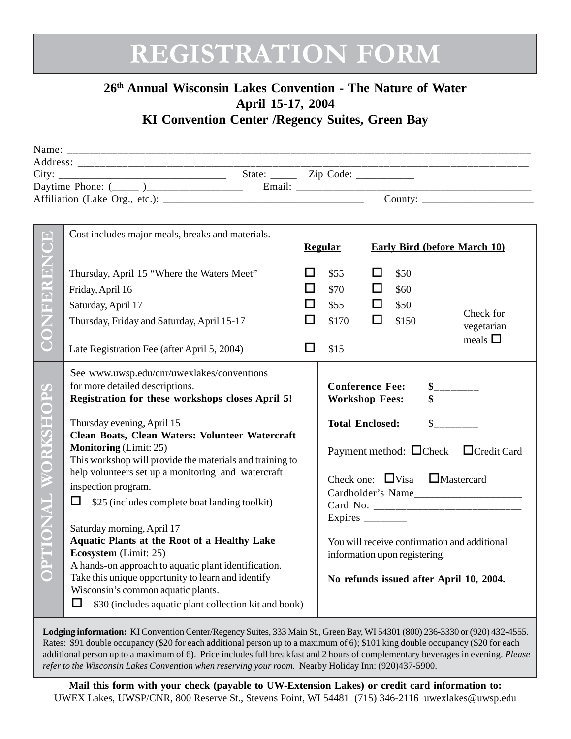## **REGISTRATION FORM**

### **26th Annual Wisconsin Lakes Convention - The Nature of Water April 15-17, 2004**

**KI Convention Center /Regency Suites, Green Bay** 

| $\boxed{\blacksquare}$<br>$\overline{\bullet}$<br>ONFEREN | Cost includes major meals, breaks and materials.<br>Thursday, April 15 "Where the Waters Meet"<br>Friday, April 16                                                                                                                                                                                                                                                                                                                                                                                                                                                                                                                                                                                                                                                                      |    | <b>Regular</b><br>\$55<br>\$70                                                                                                                                                                                                                                                                                                                                                | ப<br>□ | \$50<br>\$60 | <b>Early Bird (before March 10)</b> |
|-----------------------------------------------------------|-----------------------------------------------------------------------------------------------------------------------------------------------------------------------------------------------------------------------------------------------------------------------------------------------------------------------------------------------------------------------------------------------------------------------------------------------------------------------------------------------------------------------------------------------------------------------------------------------------------------------------------------------------------------------------------------------------------------------------------------------------------------------------------------|----|-------------------------------------------------------------------------------------------------------------------------------------------------------------------------------------------------------------------------------------------------------------------------------------------------------------------------------------------------------------------------------|--------|--------------|-------------------------------------|
|                                                           | Saturday, April 17                                                                                                                                                                                                                                                                                                                                                                                                                                                                                                                                                                                                                                                                                                                                                                      |    | \$55                                                                                                                                                                                                                                                                                                                                                                          | □      | \$50         | Check for                           |
|                                                           | Thursday, Friday and Saturday, April 15-17                                                                                                                                                                                                                                                                                                                                                                                                                                                                                                                                                                                                                                                                                                                                              | ΙI | \$170                                                                                                                                                                                                                                                                                                                                                                         | □      | \$150        | vegetarian                          |
|                                                           | Late Registration Fee (after April 5, 2004)                                                                                                                                                                                                                                                                                                                                                                                                                                                                                                                                                                                                                                                                                                                                             | □  | \$15                                                                                                                                                                                                                                                                                                                                                                          |        |              | meals $\square$                     |
| <b>OPS</b><br>ORKSH<br>TIONAL<br>$\bullet$                | See www.uwsp.edu/cnr/uwexlakes/conventions<br>for more detailed descriptions.<br>Registration for these workshops closes April 5!<br>Thursday evening, April 15<br>Clean Boats, Clean Waters: Volunteer Watercraft<br><b>Monitoring</b> (Limit: 25)<br>This workshop will provide the materials and training to<br>help volunteers set up a monitoring and watercraft<br>inspection program.<br>□<br>\$25 (includes complete boat landing toolkit)<br>Saturday morning, April 17<br><b>Aquatic Plants at the Root of a Healthy Lake</b><br>Ecosystem (Limit: 25)<br>A hands-on approach to aquatic plant identification.<br>Take this unique opportunity to learn and identify<br>Wisconsin's common aquatic plants.<br>$\Box$<br>\$30 (includes aquatic plant collection kit and book) |    | <b>Conference Fee:</b><br>$\frac{1}{2}$<br>$S$ <sub>_________</sub><br><b>Workshop Fees:</b><br>$\sim$<br><b>Total Enclosed:</b><br>Payment method: Check Credit Card<br>Check one: $\Box$ Visa $\Box$ Mastercard<br>Expires $\frac{1}{\sqrt{2}}$<br>You will receive confirmation and additional<br>information upon registering.<br>No refunds issued after April 10, 2004. |        |              |                                     |

**Lodging information:** KI Convention Center/Regency Suites, 333 Main St., Green Bay, WI 54301 (800) 236-3330 or (920) 432-4555. Rates: \$91 double occupancy (\$20 for each additional person up to a maximum of 6); \$101 king double occupancy (\$20 for each additional person up to a maximum of 6). Price includes full breakfast and 2 hours of complementary beverages in evening. *Please refer to the Wisconsin Lakes Convention when reserving your room.* Nearby Holiday Inn: (920)437-5900.

**Mail this form with your check (payable to UW-Extension Lakes) or credit card information to:** UWEX Lakes, UWSP/CNR, 800 Reserve St., Stevens Point, WI 54481 (715) 346-2116 uwexlakes@uwsp.edu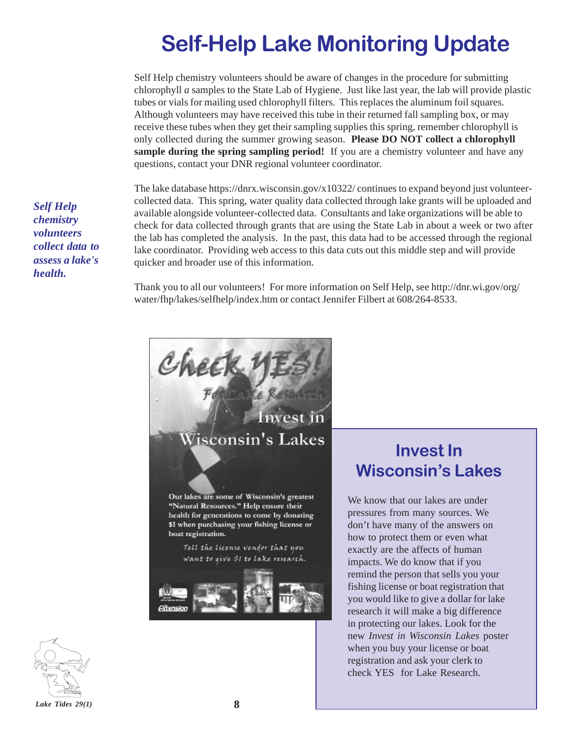### **Self-Help Lake Monitoring Update**

Self Help chemistry volunteers should be aware of changes in the procedure for submitting chlorophyll *a* samples to the State Lab of Hygiene. Just like last year, the lab will provide plastic tubes or vials for mailing used chlorophyll filters. This replaces the aluminum foil squares. Although volunteers may have received this tube in their returned fall sampling box, or may receive these tubes when they get their sampling supplies this spring, remember chlorophyll is only collected during the summer growing season. **Please DO NOT collect a chlorophyll sample during the spring sampling period!** If you are a chemistry volunteer and have any questions, contact your DNR regional volunteer coordinator.

The lake database https://dnrx.wisconsin.gov/x10322/ continues to expand beyond just volunteercollected data. This spring, water quality data collected through lake grants will be uploaded and available alongside volunteer-collected data. Consultants and lake organizations will be able to check for data collected through grants that are using the State Lab in about a week or two after the lab has completed the analysis. In the past, this data had to be accessed through the regional lake coordinator. Providing web access to this data cuts out this middle step and will provide quicker and broader use of this information.

Thank you to all our volunteers! For more information on Self Help, see http://dnr.wi.gov/org/ water/fhp/lakes/selfhelp/index.htm or contact Jennifer Filbert at 608/264-8533.

*Self Help chemistry volunteers collect data to assess a lake's health.*



### **Invest In Wisconsin's Lakes**

We know that our lakes are under pressures from many sources. We don't have many of the answers on how to protect them or even what exactly are the affects of human impacts. We do know that if you remind the person that sells you your fishing license or boat registration that you would like to give a dollar for lake research it will make a big difference in protecting our lakes. Look for the new *Invest in Wisconsin Lakes* poster when you buy your license or boat registration and ask your clerk to check YES for Lake Research.

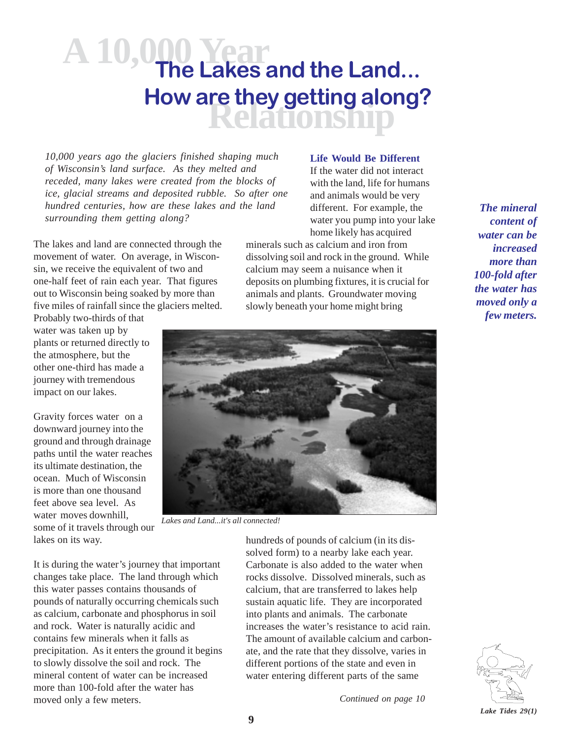### **A 10,000 Year Relationship The Lakes and the Land... How are they getting along?**

*10,000 years ago the glaciers finished shaping much of Wisconsin's land surface. As they melted and receded, many lakes were created from the blocks of ice, glacial streams and deposited rubble. So after one hundred centuries, how are these lakes and the land surrounding them getting along?*

The lakes and land are connected through the movement of water. On average, in Wisconsin, we receive the equivalent of two and one-half feet of rain each year. That figures out to Wisconsin being soaked by more than five miles of rainfall since the glaciers melted.

Probably two-thirds of that water was taken up by plants or returned directly to the atmosphere, but the other one-third has made a journey with tremendous impact on our lakes.

Gravity forces water on a downward journey into the ground and through drainage paths until the water reaches its ultimate destination, the ocean. Much of Wisconsin is more than one thousand feet above sea level. As water moves downhill. some of it travels through our lakes on its way.

**Life Would Be Different**

If the water did not interact with the land, life for humans and animals would be very different. For example, the water you pump into your lake home likely has acquired

minerals such as calcium and iron from dissolving soil and rock in the ground. While calcium may seem a nuisance when it deposits on plumbing fixtures, it is crucial for animals and plants. Groundwater moving slowly beneath your home might bring

*The mineral content of water can be increased more than 100-fold after the water has moved only a few meters.*



*Lakes and Land...it's all connected!*

It is during the water's journey that important changes take place. The land through which this water passes contains thousands of pounds of naturally occurring chemicals such as calcium, carbonate and phosphorus in soil and rock. Water is naturally acidic and contains few minerals when it falls as precipitation. As it enters the ground it begins to slowly dissolve the soil and rock. The mineral content of water can be increased more than 100-fold after the water has moved only a few meters. *Continued on page 10*

hundreds of pounds of calcium (in its dissolved form) to a nearby lake each year. Carbonate is also added to the water when rocks dissolve. Dissolved minerals, such as calcium, that are transferred to lakes help sustain aquatic life. They are incorporated into plants and animals. The carbonate increases the water's resistance to acid rain. The amount of available calcium and carbonate, and the rate that they dissolve, varies in different portions of the state and even in water entering different parts of the same

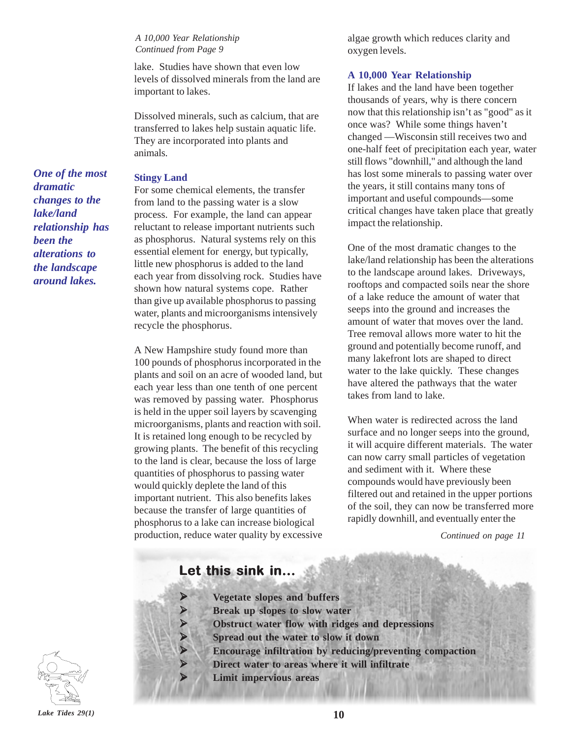*A 10,000 Year Relationship Continued from Page 9*

lake. Studies have shown that even low levels of dissolved minerals from the land are important to lakes.

Dissolved minerals, such as calcium, that are transferred to lakes help sustain aquatic life. They are incorporated into plants and animals.

#### **Stingy Land**

For some chemical elements, the transfer from land to the passing water is a slow process. For example, the land can appear reluctant to release important nutrients such as phosphorus. Natural systems rely on this essential element for energy, but typically, little new phosphorus is added to the land each year from dissolving rock. Studies have shown how natural systems cope. Rather than give up available phosphorus to passing water, plants and microorganisms intensively recycle the phosphorus.

A New Hampshire study found more than 100 pounds of phosphorus incorporated in the plants and soil on an acre of wooded land, but each year less than one tenth of one percent was removed by passing water. Phosphorus is held in the upper soil layers by scavenging microorganisms, plants and reaction with soil. It is retained long enough to be recycled by growing plants. The benefit of this recycling to the land is clear, because the loss of large quantities of phosphorus to passing water would quickly deplete the land of this important nutrient. This also benefits lakes because the transfer of large quantities of phosphorus to a lake can increase biological production, reduce water quality by excessive algae growth which reduces clarity and oxygen levels.

#### **A 10,000 Year Relationship**

If lakes and the land have been together thousands of years, why is there concern now that this relationship isn't as "good" as it once was? While some things haven't changed —Wisconsin still receives two and one-half feet of precipitation each year, water still flows "downhill," and although the land has lost some minerals to passing water over the years, it still contains many tons of important and useful compounds—some critical changes have taken place that greatly impact the relationship.

One of the most dramatic changes to the lake/land relationship has been the alterations to the landscape around lakes. Driveways, rooftops and compacted soils near the shore of a lake reduce the amount of water that seeps into the ground and increases the amount of water that moves over the land. Tree removal allows more water to hit the ground and potentially become runoff, and many lakefront lots are shaped to direct water to the lake quickly. These changes have altered the pathways that the water takes from land to lake.

When water is redirected across the land surface and no longer seeps into the ground, it will acquire different materials. The water can now carry small particles of vegetation and sediment with it. Where these compounds would have previously been filtered out and retained in the upper portions of the soil, they can now be transferred more rapidly downhill, and eventually enter the

*Continued on page 11*

### Let this sink in...

- ¾ **Vegetate slopes and buffers**
	- ¾ **Break up slopes to slow water**
	- ¾ **Obstruct water flow with ridges and depressions**
	- ¾ **Spread out the water to slow it down**
	- ¾ **Encourage infiltration by reducing/preventing compaction**
	- ¾ **Direct water to areas where it will infiltrate**
		- ¾ **Limit impervious areas**

*One of the most dramatic changes to the lake/land relationship has been the alterations to the landscape around lakes.*

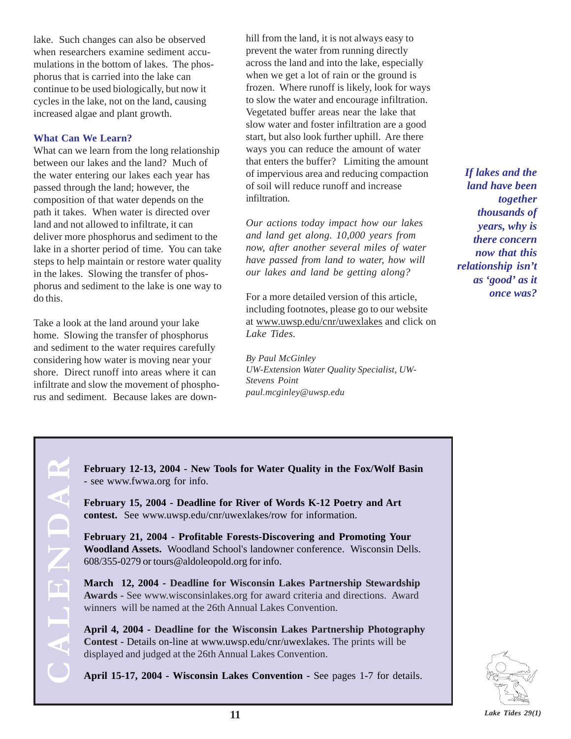lake. Such changes can also be observed when researchers examine sediment accumulations in the bottom of lakes. The phosphorus that is carried into the lake can continue to be used biologically, but now it cycles in the lake, not on the land, causing increased algae and plant growth.

#### **What Can We Learn?**

What can we learn from the long relationship between our lakes and the land? Much of the water entering our lakes each year has passed through the land; however, the composition of that water depends on the path it takes. When water is directed over land and not allowed to infiltrate, it can deliver more phosphorus and sediment to the lake in a shorter period of time. You can take steps to help maintain or restore water quality in the lakes. Slowing the transfer of phosphorus and sediment to the lake is one way to do this.

Take a look at the land around your lake home. Slowing the transfer of phosphorus and sediment to the water requires carefully considering how water is moving near your shore. Direct runoff into areas where it can infiltrate and slow the movement of phosphorus and sediment. Because lakes are downhill from the land, it is not always easy to prevent the water from running directly across the land and into the lake, especially when we get a lot of rain or the ground is frozen. Where runoff is likely, look for ways to slow the water and encourage infiltration. Vegetated buffer areas near the lake that slow water and foster infiltration are a good start, but also look further uphill. Are there ways you can reduce the amount of water that enters the buffer? Limiting the amount of impervious area and reducing compaction of soil will reduce runoff and increase infiltration.

*Our actions today impact how our lakes and land get along. 10,000 years from now, after another several miles of water have passed from land to water, how will our lakes and land be getting along?*

For a more detailed version of this article, including footnotes, please go to our website at www.uwsp.edu/cnr/uwexlakes and click on *Lake Tides.*

*By Paul McGinley UW-Extension Water Quality Specialist, UW-Stevens Point paul.mcginley@uwsp.edu*

*If lakes and the land have been together thousands of years, why is there concern now that this relationship isn't as 'good' as it once was?*

**February 12-13, 2004 - New Tools for Water Quality in the Fox/Wolf Basin** - see www.fwwa.org for info.

**February 15, 2004 - Deadline for River of Words K-12 Poetry and Art contest.** See www.uwsp.edu/cnr/uwexlakes/row for information.

**February 21, 2004 - Profitable Forests-Discovering and Promoting Your Woodland Assets.** Woodland School's landowner conference. Wisconsin Dells. 608/355-0279 or tours@aldoleopold.org for info.

**March 12, 2004 - Deadline for Wisconsin Lakes Partnership Stewardship Awards -** See www.wisconsinlakes.org for award criteria and directions. Award winners will be named at the 26th Annual Lakes Convention.

**April 4, 2004 - Deadline for the Wisconsin Lakes Partnership Photography Contest -** Details on-line at www.uwsp.edu/cnr/uwexlakes. The prints will be displayed and judged at the 26th Annual Lakes Convention.

**April 15-17, 2004 - Wisconsin Lakes Convention -** See pages 1-7 for details.